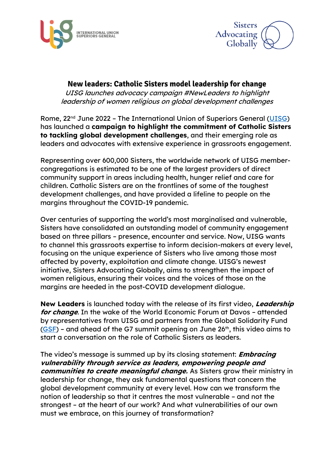



## **New leaders: Catholic Sisters model leadership for change**

UISG launches advocacy campaign #NewLeaders to highlight leadership of women religious on global development challenges

Rome, 22<sup>nd</sup> June 2022 - The International Union of Superiors General [\(UISG\)](https://www.uisg.org/en/) has launched a **campaign to highlight the commitment of Catholic Sisters to tackling global development challenges**, and their emerging role as leaders and advocates with extensive experience in grassroots engagement.

Representing over 600,000 Sisters, the worldwide network of UISG membercongregations is estimated to be one of the largest providers of direct community support in areas including health, hunger relief and care for children. Catholic Sisters are on the frontlines of some of the toughest development challenges, and have provided a lifeline to people on the margins throughout the COVID-19 pandemic.

Over centuries of supporting the world's most marginalised and vulnerable, Sisters have consolidated an outstanding model of community engagement based on three pillars – presence, encounter and service. Now, UISG wants to channel this grassroots expertise to inform decision-makers at every level, focusing on the unique experience of Sisters who live among those most affected by poverty, exploitation and climate change. UISG's newest initiative, Sisters Advocating Globally, aims to strengthen the impact of women religious, ensuring their voices and the voices of those on the margins are heeded in the post-COVID development dialogue.

**New Leaders** is launched today with the release of its first video, **Leadership for change**. In the wake of the World Economic Forum at Davos – attended by representatives from UISG and partners from the Global Solidarity Fund [\(GSF\)](https://www.globalsolidarityfund.org/) – and ahead of the G7 summit opening on June  $26<sup>th</sup>$ , this video aims to start a conversation on the role of Catholic Sisters as leaders.

The video's message is summed up by its closing statement: **Embracing vulnerability through service as leaders, empowering people and communities to create meaningful change.** As Sisters grow their ministry in leadership for change, they ask fundamental questions that concern the global development community at every level. How can we transform the notion of leadership so that it centres the most vulnerable – and not the strongest – at the heart of our work? And what vulnerabilities of our own must we embrace, on this journey of transformation?